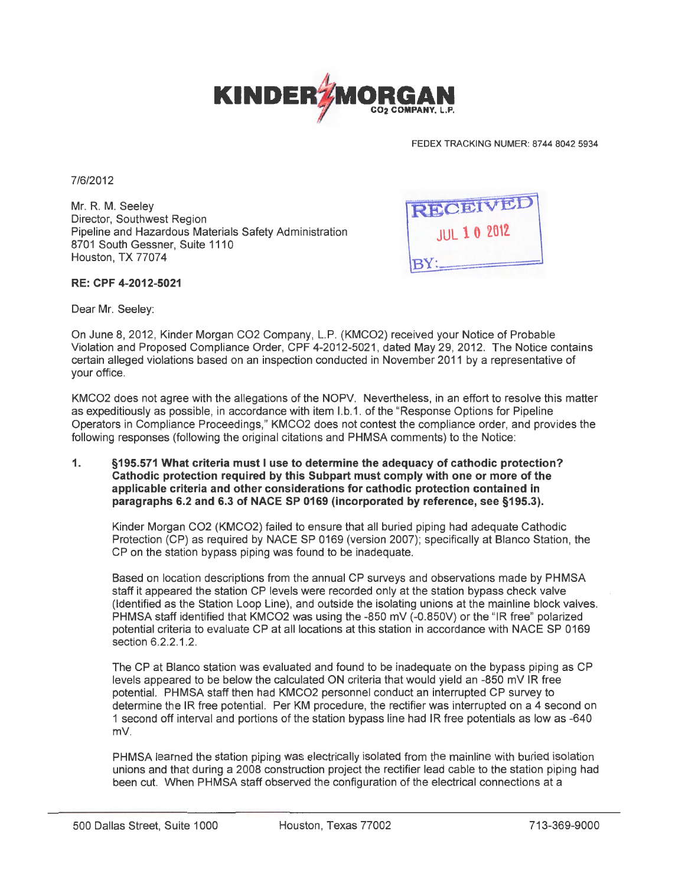

FEDEX TRACKING NUMER: 8744 8042 5934

7/6/2012

Mr. R. M. Seeley Director, Southwest Region Pipeline and Hazardous Materials Safety Administration 8701 South Gessner, Suite 1110 Houston, TX 77074



## **RE: CPF 4-2012-5021**

Dear Mr. Seeley:

On June 8, 2012, Kinder Morgan C02 Company, L.P. (KMC02) received your Notice of Probable Violation and Proposed Compliance Order, CPF 4-2012-5021, dated May 29, 2012. The Notice contains certain alleged violations based on an inspection conducted in November 2011 by a representative of your office.

KMC02 does not agree with the allegations of the NOPV. Nevertheless, in an effort to resolve this matter as expeditiously as possible, in accordance with item l.b.1. of the "Response Options for Pipeline Operators in Compliance Proceedings," KMC02 does not contest the compliance order, and provides the following responses (following the original citations and PHMSA comments) to the Notice:

**1. §195.571 What criteria must I use to determine the adequacy of cathodic protection? Cathodic protection required by this Subpart must comply with one or more of the applicable criteria and other considerations for cathodic protection contained in paragraphs 6.2 and 6.3 of NACE SP 0169 (incorporated by reference, see §195.3).** 

Kinder Morgan C02 (KMC02) failed to ensure that all buried piping had adequate Cathodic Protection (CP) as required by NACE SP 0169 (version 2007); specifically at Blanco Station, the CP on the station bypass piping was found to be inadequate.

Based on location descriptions from the annual CP surveys and observations made by PHMSA staff it appeared the station CP levels were recorded only at the station bypass check valve (Identified as the Station Loop Line), and outside the isolating unions at the mainline block valves. PHMSA staff identified that KMC02 was using the -850 mV (-0.850V) or the "IR free" polarized potential criteria to evaluate CP at all locations at this station in accordance with NACE SP 0169 section 6.2.2.1.2.

The CP at Blanco station was evaluated and found to be inadequate on the bypass piping as CP levels appeared to be below the calculated ON criteria that would yield an -850 mV IR free potential. PHMSA staff then had KMC02 personnel conduct an interrupted CP survey to determine the IR free potential. Per KM procedure, the rectifier was interrupted on a 4 second on 1 second off interval and portions of the station bypass line had IR free potentials as low as -640 mV.

PHMSA learned the station piping was electrically isolated from the mainline with buried isolation unions and that during a 2008 construction project the rectifier lead cable to the station piping had been cut. When PHMSA staff observed the configuration of the electrical connections at a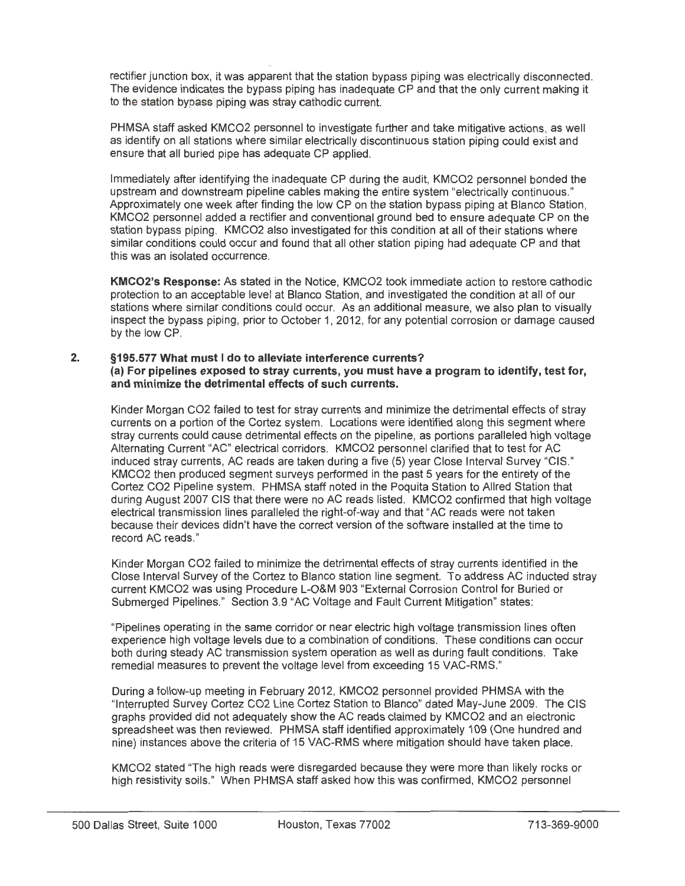' rectifier junction box, it was apparent that the station bypass piping was electrically disconnected. The evidence indicates the bypass piping has inadequate CP and that the only current making it to the station bypass piping was stray cathodic current.

.....

PHMSA staff asked KMC02 personnel to investigate further and take mitigative actions, as well as identify on all stations where similar electrically discontinuous station piping could exist and ensure that all buried pipe has adequate CP applied.

Immediately after identifying the inadequate CP during the audit, KMC02 personnel bonded the upstream and downstream pipeline cables making the entire system "electrically continuous." Approximately one week after finding the low CP on the station bypass piping at Blanco Station, KMC02 personnel added a rectifier and conventional ground bed to ensure adequate CP on the station bypass piping. KMC02 also investigated for this condition at all of their stations where similar conditions could occur and found that all other station piping had adequate CP and that this was an isolated occurrence.

**KMC02's Response:** As stated in the Notice, KMC02 took immediate action to restore cathodic protection to an acceptable level at Blanco Station, and investigated the condition at all of our stations where similar conditions could occur. As an additional measure, we also plan to visually inspect the bypass piping, prior to October 1, 2012, for any potential corrosion or damage caused by the low CP.

## **2. §195.577 What must I do to alleviate interference currents? (a) For pipelines exposed to stray currents, you must have a program to identify, test for, and minimize the detrimental effects of such currents.**

Kinder Morgan C02 failed to test for stray currents and minimize the detrimental effects of stray currents on a portion of the Cortez system. Locations were identified along this segment where stray currents could cause detrimental effects on the pipeline, as portions paralleled high voltage Alternating Current "AC" electrical corridors. KMC02 personnel clarified that to test for AC induced stray currents, AC reads are taken during a five (5) year Close Interval Survey "CIS." KMC02 then produced segment surveys performed in the past 5 years for the entirety of the Cortez C02 Pipeline system. PHMSA staff noted in the Poquita Station to Allred Station that during August 2007 CIS that there were no AC reads listed. KMC02 confirmed that high voltage electrical transmission lines paralleled the right-of-way and that "AC reads were not taken because their devices didn't have the correct version of the software installed at the time to record AC reads."

Kinder Morgan C02 failed to minimize the detrimental effects of stray currents identified in the Close Interval Survey of the Cortez to Blanco station line segment. To address AC inducted stray current KMC02 was using Procedure L-O&M 903 "External Corrosion Control for Buried or Submerged Pipelines." Section 3.9 "AC Voltage and Fault Current Mitigation" states:

"Pipelines operating in the same corridor or near electric high voltage transmission lines often experience high voltage levels due to a combination of conditions. These conditions can occur both during steady AC transmission system operation as well as during fault conditions. Take remedial measures to prevent the voltage level from exceeding 15 VAC-RMS."

During a follow-up meeting in February 2012, KMC02 personnel provided PHMSA with the "Interrupted Survey Cortez C02 Line Cortez Station to Blanco" dated May-June 2009. The CIS graphs provided did not adequately show the AC reads claimed by KMC02 and an electronic spreadsheet was then reviewed. PHMSA staff identified approximately 109 (One hundred and nine) instances above the criteria of 15 VAC-RMS where mitigation should have taken place.

KMC02 stated "The high reads were disregarded because they were more than likely rocks or high resistivity soils." When PHMSA staff asked how this was confirmed, KMC02 personnel